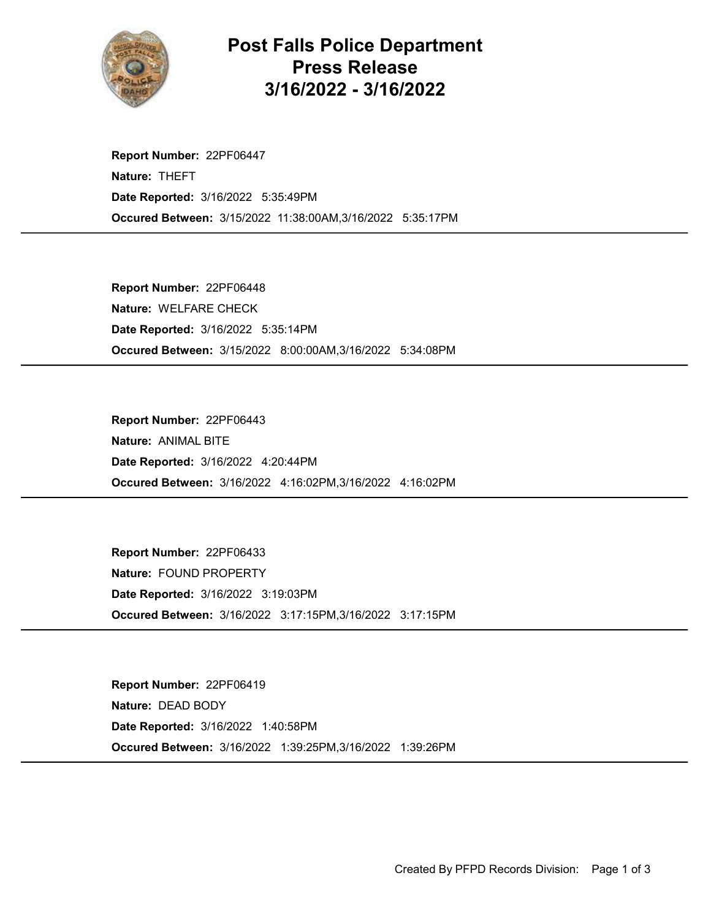

Post Falls Police Department Press Release 3/16/2022 - 3/16/2022

Occured Between: 3/15/2022 11:38:00AM,3/16/2022 5:35:17PM Report Number: 22PF06447 Nature: THEFT Date Reported: 3/16/2022 5:35:49PM

Occured Between: 3/15/2022 8:00:00AM,3/16/2022 5:34:08PM Report Number: 22PF06448 Nature: WELFARE CHECK Date Reported: 3/16/2022 5:35:14PM

Occured Between: 3/16/2022 4:16:02PM,3/16/2022 4:16:02PM Report Number: 22PF06443 Nature: ANIMAL BITE Date Reported: 3/16/2022 4:20:44PM

Occured Between: 3/16/2022 3:17:15PM,3/16/2022 3:17:15PM Report Number: 22PF06433 Nature: FOUND PROPERTY Date Reported: 3/16/2022 3:19:03PM

Occured Between: 3/16/2022 1:39:25PM,3/16/2022 1:39:26PM Report Number: 22PF06419 Nature: DEAD BODY Date Reported: 3/16/2022 1:40:58PM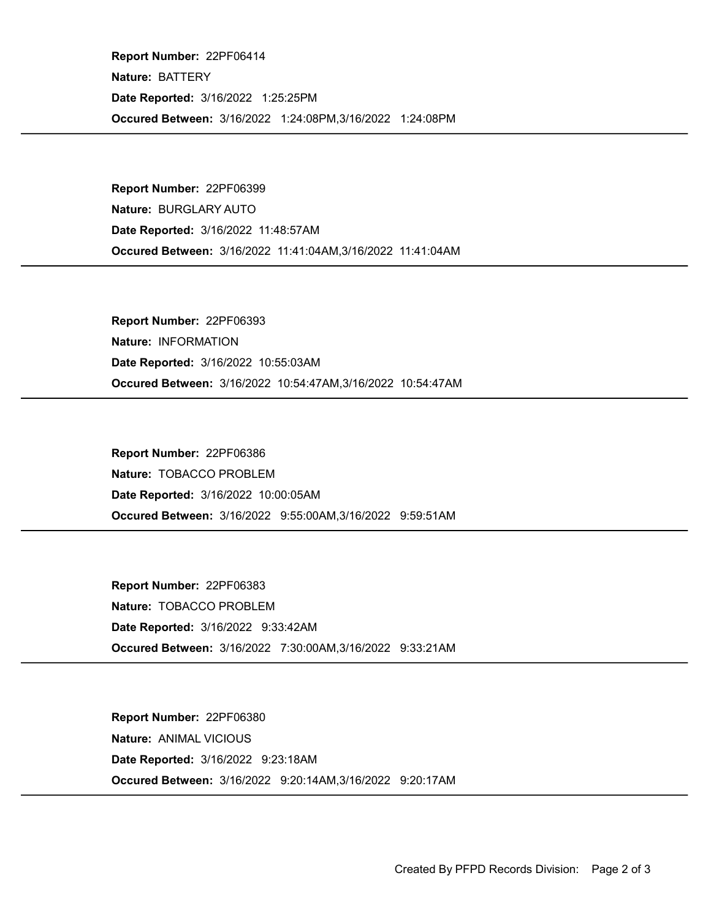Occured Between: 3/16/2022 1:24:08PM,3/16/2022 1:24:08PM Report Number: 22PF06414 Nature: BATTERY Date Reported: 3/16/2022 1:25:25PM

Occured Between: 3/16/2022 11:41:04AM,3/16/2022 11:41:04AM Report Number: 22PF06399 Nature: BURGLARY AUTO Date Reported: 3/16/2022 11:48:57AM

Occured Between: 3/16/2022 10:54:47AM,3/16/2022 10:54:47AM Report Number: 22PF06393 Nature: INFORMATION Date Reported: 3/16/2022 10:55:03AM

Occured Between: 3/16/2022 9:55:00AM,3/16/2022 9:59:51AM Report Number: 22PF06386 Nature: TOBACCO PROBLEM Date Reported: 3/16/2022 10:00:05AM

Occured Between: 3/16/2022 7:30:00AM,3/16/2022 9:33:21AM Report Number: 22PF06383 Nature: TOBACCO PROBLEM Date Reported: 3/16/2022 9:33:42AM

Occured Between: 3/16/2022 9:20:14AM,3/16/2022 9:20:17AM Report Number: 22PF06380 Nature: ANIMAL VICIOUS Date Reported: 3/16/2022 9:23:18AM